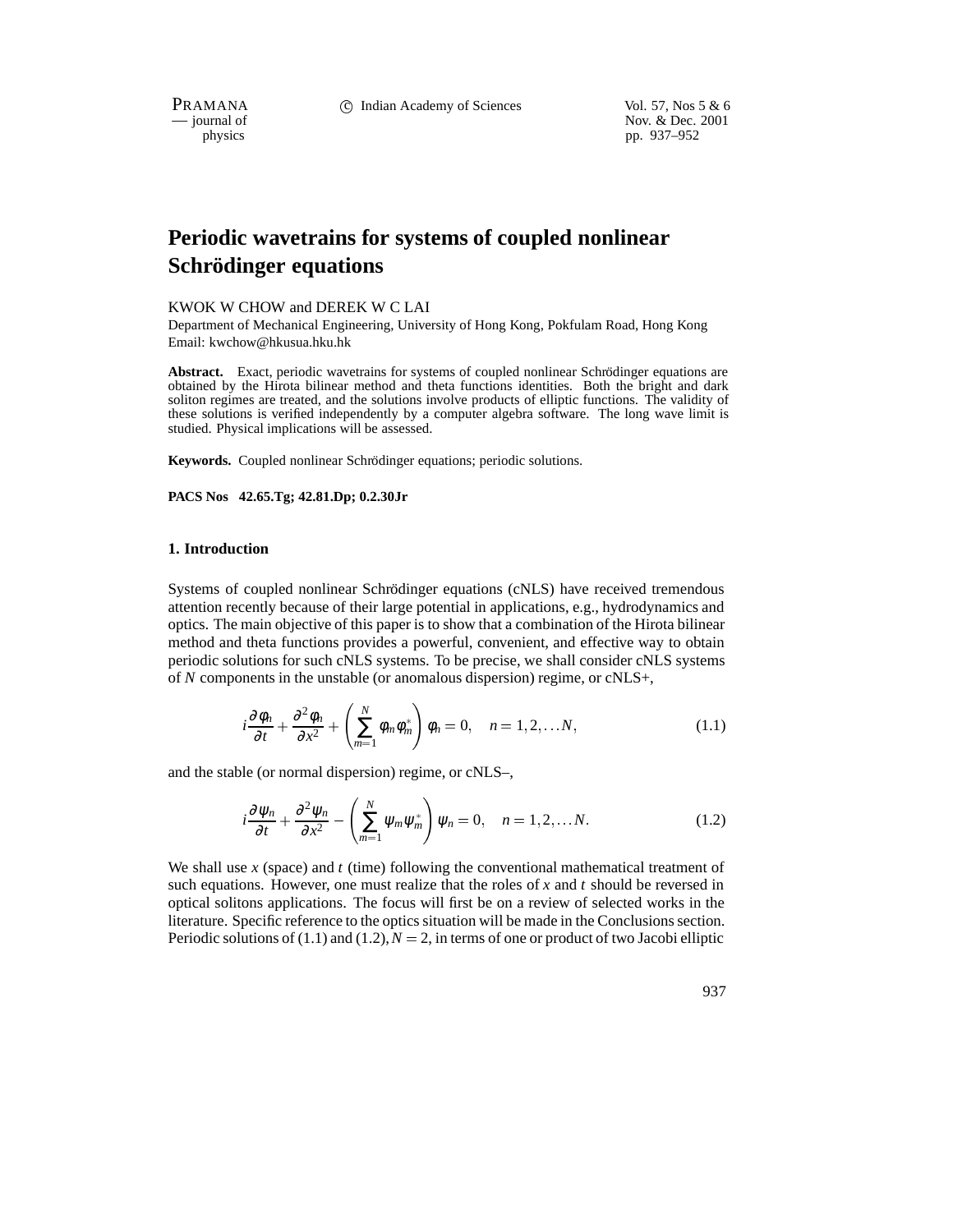PRAMANA 
compared to Compared Compared Compared Compared Compared Vol. 57, Nos 5 & 6<br>
cournal of Nov. & Dec. 2001 position of Nov. & Dec. 2001<br>
physics pp. 937–952 pp. 937–952

# **Periodic wavetrains for systems of coupled nonlinear**  $Schrödinger equations$

KWOK W CHOW and DEREK W C LAI

Department of Mechanical Engineering, University of Hong Kong, Pokfulam Road, Hong Kong Email: kwchow@hkusua.hku.hk

**Abstract.** Exact, periodic wavetrains for systems of coupled nonlinear Schrödinger equations are obtained by the Hirota bilinear method and theta functions identities. Both the bright and dark soliton regimes are treated, and the solutions involve products of elliptic functions. The validity of these solutions is verified independently by a computer algebra software. The long wave limit is studied. Physical implications will be assessed.

Keywords. Coupled nonlinear Schrödinger equations; periodic solutions.

**PACS Nos 42.65.Tg; 42.81.Dp; 0.2.30Jr**

#### **1. Introduction**

Systems of coupled nonlinear Schrödinger equations (cNLS) have received tremendous attention recently because of their large potential in applications, e.g., hydrodynamics and optics. The main objective of this paper is to show that a combination of the Hirota bilinear method and theta functions provides a powerful, convenient, and effective way to obtain periodic solutions for such cNLS systems. To be precise, we shall consider cNLS systems of *N* components in the unstable (or anomalous dispersion) regime, or cNLS+,

$$
i\frac{\partial \phi_n}{\partial t} + \frac{\partial^2 \phi_n}{\partial x^2} + \left(\sum_{m=1}^N \phi_m \phi_m^*\right) \phi_n = 0, \quad n = 1, 2, \dots N,
$$
\n(1.1)

and the stable (or normal dispersion) regime, or cNLS–,

$$
i\frac{\partial \psi_n}{\partial t} + \frac{\partial^2 \psi_n}{\partial x^2} - \left(\sum_{m=1}^N \psi_m \psi_m^*\right) \psi_n = 0, \quad n = 1, 2, \dots N. \tag{1.2}
$$

We shall use *x* (space) and *t* (time) following the conventional mathematical treatment of such equations. However, one must realize that the roles of *x* and *t* should be reversed in optical solitons applications. The focus will first be on a review of selected works in the literature. Specific reference to the optics situation will be made in the Conclusions section. Periodic solutions of (1.1) and (1.2),  $N = 2$ , in terms of one or product of two Jacobi elliptic

937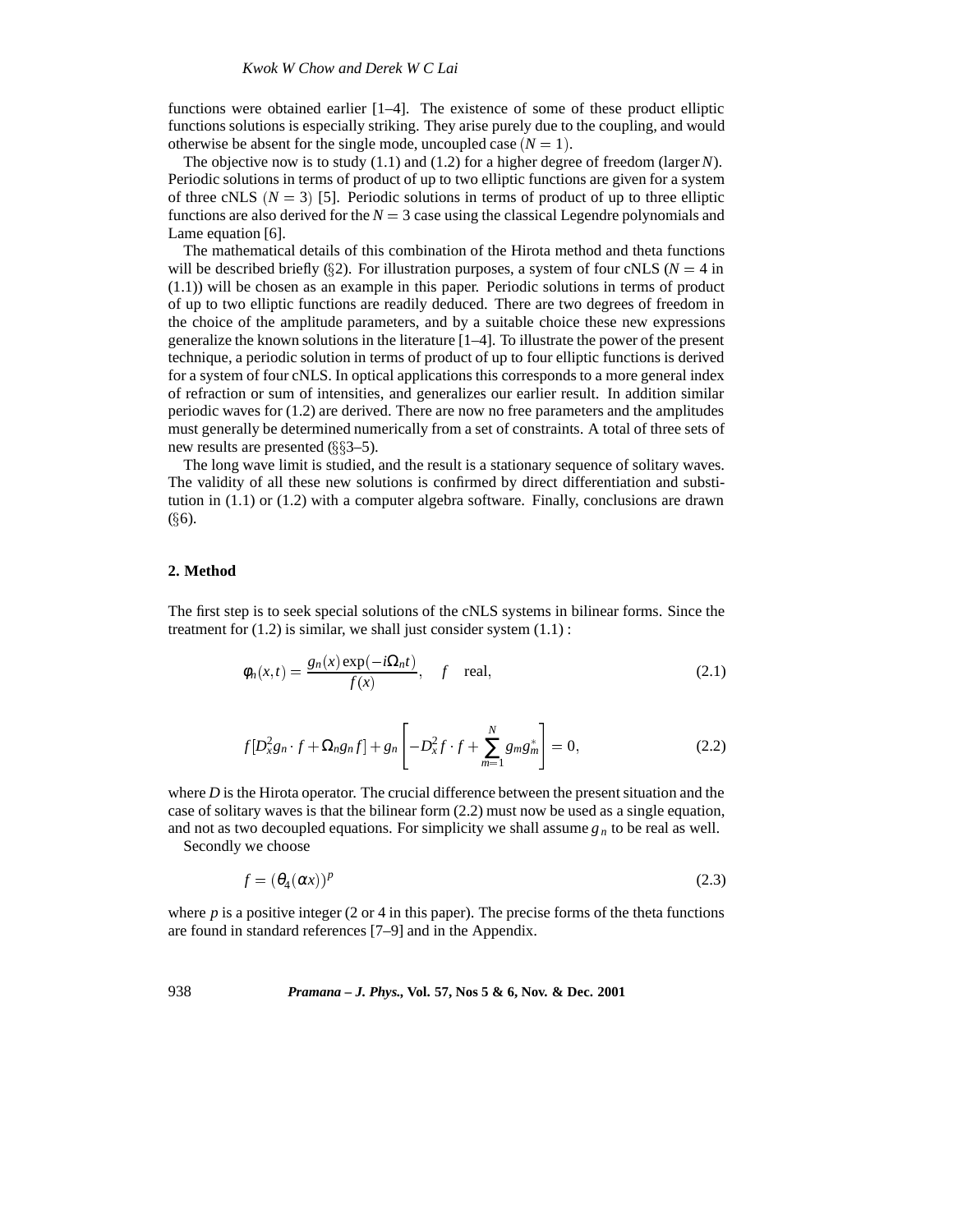functions were obtained earlier [1–4]. The existence of some of these product elliptic functions solutions is especially striking. They arise purely due to the coupling, and would otherwise be absent for the single mode, uncoupled case  $(N = 1)$ .

The objective now is to study (1.1) and (1.2) for a higher degree of freedom (larger*N*). Periodic solutions in terms of product of up to two elliptic functions are given for a system of three cNLS  $(N = 3)$  [5]. Periodic solutions in terms of product of up to three elliptic functions are also derived for the  $N = 3$  case using the classical Legendre polynomials and Lame equation [6].

The mathematical details of this combination of the Hirota method and theta functions will be described briefly ( $\S$ 2). For illustration purposes, a system of four cNLS ( $N = 4$  in (1.1)) will be chosen as an example in this paper. Periodic solutions in terms of product of up to two elliptic functions are readily deduced. There are two degrees of freedom in the choice of the amplitude parameters, and by a suitable choice these new expressions generalize the known solutions in the literature [1–4]. To illustrate the power of the present technique, a periodic solution in terms of product of up to four elliptic functions is derived for a system of four cNLS. In optical applications this corresponds to a more general index of refraction or sum of intensities, and generalizes our earlier result. In addition similar periodic waves for (1.2) are derived. There are now no free parameters and the amplitudes must generally be determined numerically from a set of constraints. A total of three sets of new results are presented  $(\S$ §3–5).

The long wave limit is studied, and the result is a stationary sequence of solitary waves. The validity of all these new solutions is confirmed by direct differentiation and substitution in  $(1.1)$  or  $(1.2)$  with a computer algebra software. Finally, conclusions are drawn  $(\S6)$ .

## **2. Method**

The first step is to seek special solutions of the cNLS systems in bilinear forms. Since the treatment for  $(1.2)$  is similar, we shall just consider system  $(1.1)$ :

$$
\phi_n(x,t) = \frac{g_n(x) \exp(-i\Omega_n t)}{f(x)}, \quad f \quad \text{real}, \tag{2.1}
$$

$$
f[D_x^2 g_n \cdot f + \Omega_n g_n f] + g_n \left[ -D_x^2 f \cdot f + \sum_{m=1}^N g_m g_m^* \right] = 0, \qquad (2.2)
$$

where *D* is the Hirota operator. The crucial difference between the present situation and the case of solitary waves is that the bilinear form (2.2) must now be used as a single equation, and not as two decoupled equations. For simplicity we shall assume  $g_n$  to be real as well.

Secondly we choose

$$
f = (\theta_4(\alpha x))^p \tag{2.3}
$$

where  $p$  is a positive integer (2 or 4 in this paper). The precise forms of the theta functions are found in standard references [7–9] and in the Appendix.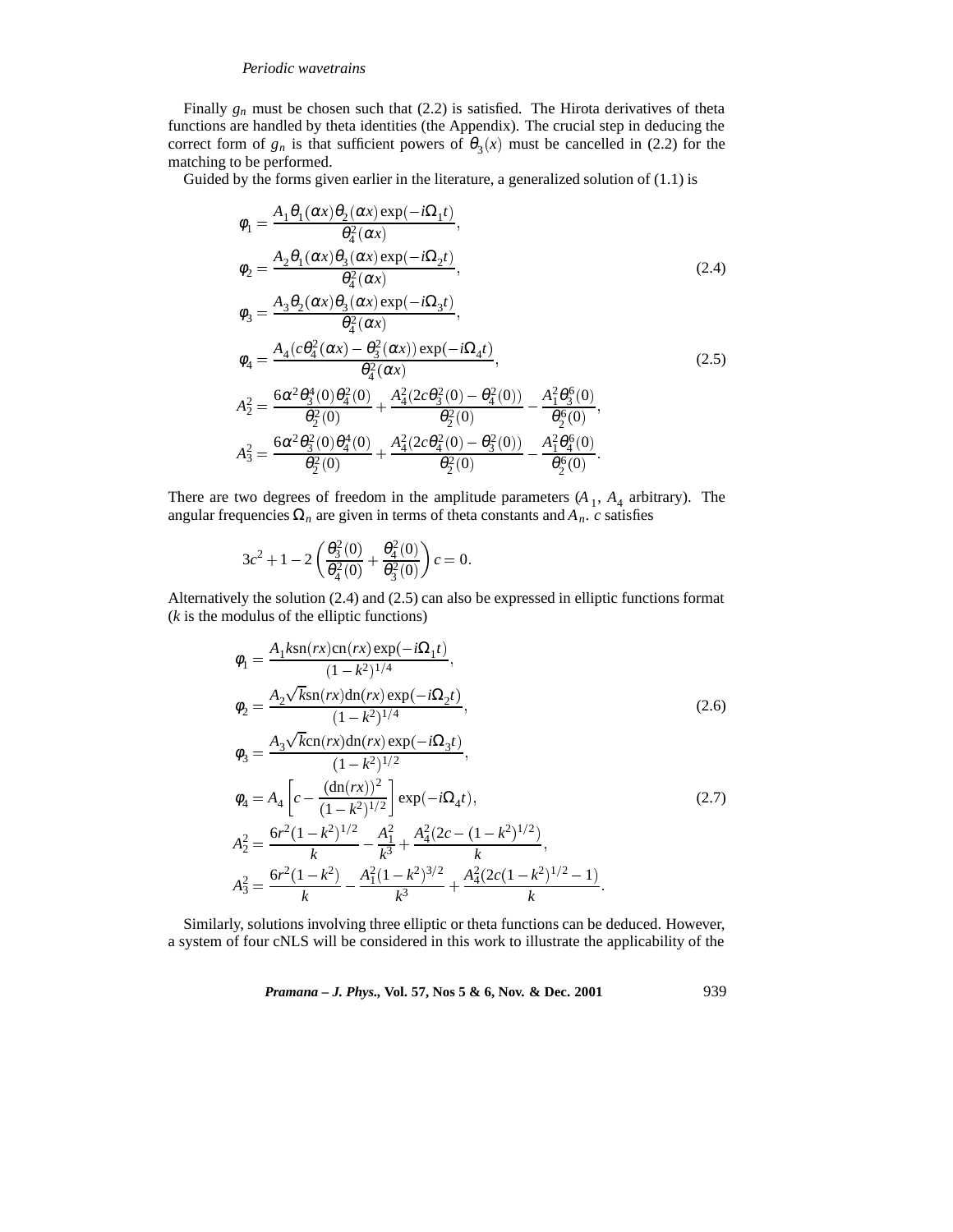Finally  $g_n$  must be chosen such that (2.2) is satisfied. The Hirota derivatives of theta functions are handled by theta identities (the Appendix). The crucial step in deducing the correct form of  $g_n$  is that sufficient powers of  $\theta_3(x)$  must be cancelled in (2.2) for the matching to be performed.

Guided by the forms given earlier in the literature, a generalized solution of (1.1) is

$$
\phi_1 = \frac{A_1 \theta_1(\alpha x) \theta_2(\alpha x) \exp(-i\Omega_1 t)}{\theta_4^2(\alpha x)}, \n\phi_2 = \frac{A_2 \theta_1(\alpha x) \theta_3(\alpha x) \exp(-i\Omega_2 t)}{\theta_4^2(\alpha x)}, \n\phi_3 = \frac{A_3 \theta_2(\alpha x) \theta_3(\alpha x) \exp(-i\Omega_3 t)}{\theta_4^2(\alpha x)}, \n\phi_4 = \frac{A_4 (c \theta_4^2(\alpha x) - \theta_3^2(\alpha x)) \exp(-i\Omega_4 t)}{\theta_4^2(\alpha x)}, \nA_2^2 = \frac{6 \alpha^2 \theta_3^4(0) \theta_4^2(0)}{\theta_2^2(0)} + \frac{A_4^2(2c \theta_3^2(0) - \theta_4^2(0))}{\theta_2^2(0)} - \frac{A_1^2 \theta_3^6(0)}{\theta_2^6(0)}, \nA_3^2 = \frac{6 \alpha^2 \theta_3^2(0) \theta_4^4(0)}{\theta_2^2(0)} + \frac{A_4^2(2c \theta_4^2(0) - \theta_3^2(0))}{\theta_2^2(0)} - \frac{A_1^2 \theta_4^6(0)}{\theta_2^6(0)}.
$$
\n(2.5)

There are two degrees of freedom in the amplitude parameters  $(A_1, A_4)$  arbitrary). The angular frequencies  $\Omega_n$  are given in terms of theta constants and  $A_n$ . *c* satisfies

$$
3c^2 + 1 - 2\left(\frac{\theta_3^2(0)}{\theta_4^2(0)} + \frac{\theta_4^2(0)}{\theta_3^2(0)}\right)c = 0.
$$

Alternatively the solution (2.4) and (2.5) can also be expressed in elliptic functions format (*k* is the modulus of the elliptic functions)

$$
\phi_1 = \frac{A_1 k \sin(rx) \cos(nx) \exp(-i\Omega_1 t)}{(1 - k^2)^{1/4}}, \n\phi_2 = \frac{A_2 \sqrt{k} \sin(rx) \sin(nx) \exp(-i\Omega_2 t)}{(1 - k^2)^{1/4}}, \n\phi_3 = \frac{A_3 \sqrt{k} \cos(rx) \sin(nx) \exp(-i\Omega_3 t)}{(1 - k^2)^{1/2}}, \n\phi_4 = A_4 \left[ c - \frac{(\sin(rx))^2}{(1 - k^2)^{1/2}} \right] \exp(-i\Omega_4 t), \nA_2^2 = \frac{6r^2 (1 - k^2)^{1/2}}{k} - \frac{A_1^2}{k^3} + \frac{A_4^2 (2c - (1 - k^2)^{1/2})}{k}, \nA_3^2 = \frac{6r^2 (1 - k^2)}{k} - \frac{A_1^2 (1 - k^2)^{3/2}}{k^3} + \frac{A_4^2 (2c(1 - k^2)^{1/2} - 1)}{k}.
$$
\n(2.7)

Similarly, solutions involving three elliptic or theta functions can be deduced. However, a system of four cNLS will be considered in this work to illustrate the applicability of the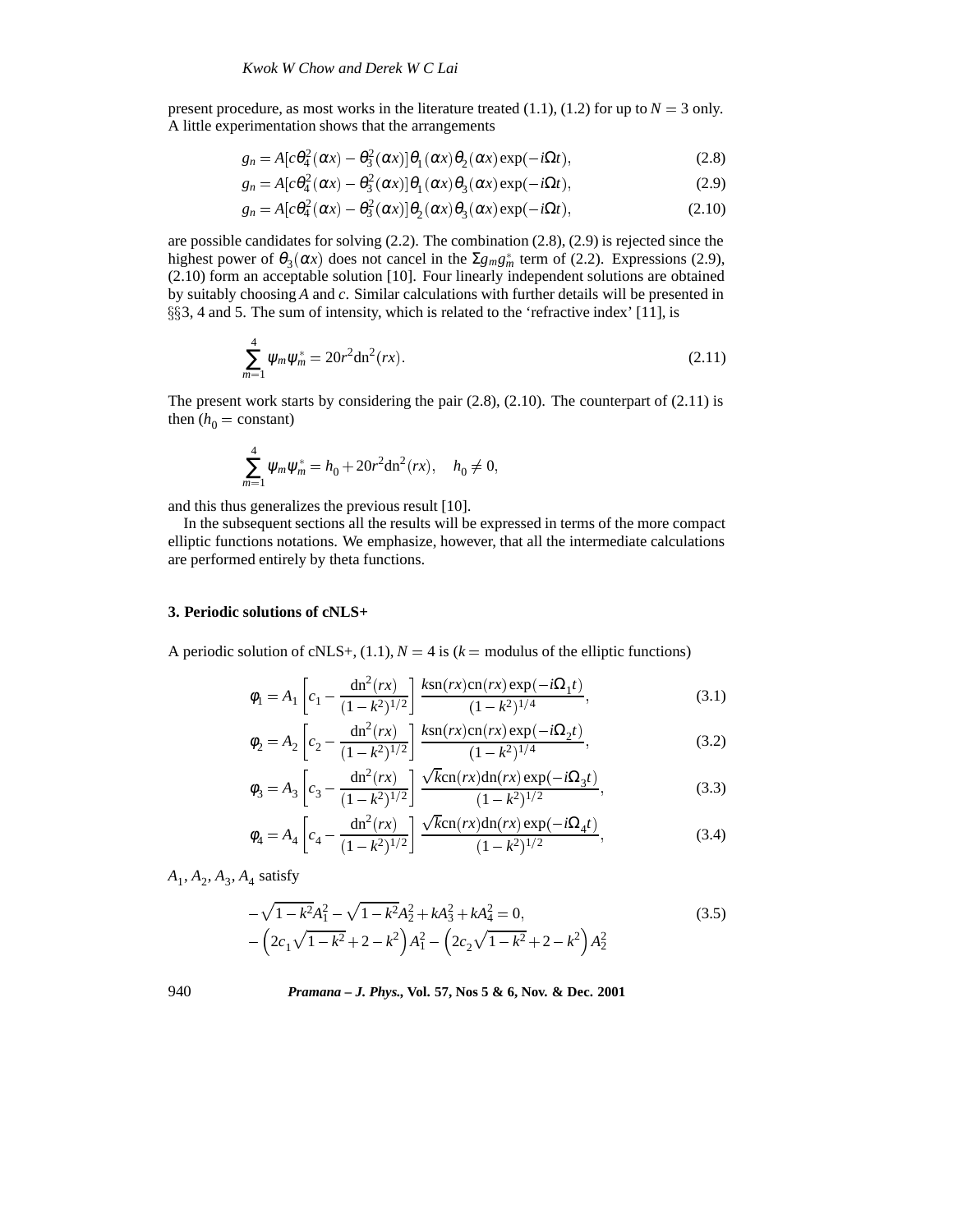present procedure, as most works in the literature treated  $(1.1)$ ,  $(1.2)$  for up to  $N = 3$  only. A little experimentation shows that the arrangements

$$
g_n = A[c\theta_4^2(\alpha x) - \theta_3^2(\alpha x)]\theta_1(\alpha x)\theta_2(\alpha x)\exp(-i\Omega t),
$$
\n(2.8)

$$
g_n = A[c\theta_4^2(\alpha x) - \theta_3^2(\alpha x)]\theta_1(\alpha x)\theta_3(\alpha x) \exp(-i\Omega t), \qquad (2.9)
$$

$$
g_n = A[c\theta_4^2(\alpha x) - \theta_3^2(\alpha x)]\theta_2(\alpha x)\theta_3(\alpha x)\exp(-i\Omega t),
$$
\n(2.10)

are possible candidates for solving (2.2). The combination (2.8), (2.9) is rejected since the highest power of  $\theta_3(\alpha x)$  does not cancel in the  $\Sigma g_m g_m^*$  term of (2.2). Expressions (2.9), (2.10) form an acceptable solution [10]. Four linearly independent solutions are obtained by suitably choosing *A* and *c*. Similar calculations with further details will be presented in  $\S$ §3, 4 and 5. The sum of intensity, which is related to the 'refractive index' [11], is

$$
\sum_{m=1}^{4} \psi_m \psi_m^* = 20r^2 \text{dn}^2(rx). \tag{2.11}
$$

The present work starts by considering the pair  $(2.8)$ ,  $(2.10)$ . The counterpart of  $(2.11)$  is then  $(h_0 = constant)$ 

$$
\sum_{m=1}^{4} \psi_m \psi_m^* = h_0 + 20r^2 \text{dn}^2(rx), \quad h_0 \neq 0,
$$

and this thus generalizes the previous result [10].

In the subsequent sections all the results will be expressed in terms of the more compact elliptic functions notations. We emphasize, however, that all the intermediate calculations are performed entirely by theta functions.

#### **3. Periodic solutions of cNLS+**

A periodic solution of cNLS+,  $(1.1)$ ,  $N = 4$  is  $(k =$  modulus of the elliptic functions)

$$
\phi_1 = A_1 \left[ c_1 - \frac{\mathrm{dn}^2(rx)}{(1 - k^2)^{1/2}} \right] \frac{k \mathrm{sn}(rx) \mathrm{cn}(rx) \exp(-i\Omega_1 t)}{(1 - k^2)^{1/4}},\tag{3.1}
$$

$$
\phi_2 = A_2 \left[ c_2 - \frac{\mathrm{dn}^2(rx)}{(1 - k^2)^{1/2}} \right] \frac{k \mathrm{sn}(rx) \mathrm{cn}(rx) \exp(-i\Omega_2 t)}{(1 - k^2)^{1/4}},\tag{3.2}
$$

$$
\phi_3 = A_3 \left[ c_3 - \frac{\mathrm{dn}^2(rx)}{(1 - k^2)^{1/2}} \right] \frac{\sqrt{k} \mathrm{cn}(rx) \mathrm{dn}(rx) \exp(-i\Omega_3 t)}{(1 - k^2)^{1/2}}, \tag{3.3}
$$

$$
\phi_4 = A_4 \left[ c_4 - \frac{\text{dn}^2(rx)}{(1 - k^2)^{1/2}} \right] \frac{\sqrt{k} \text{cn}(rx) \text{dn}(rx) \exp(-i\Omega_4 t)}{(1 - k^2)^{1/2}},\tag{3.4}
$$

 $A_1$ ,  $A_2$ ,  $A_3$ ,  $A_4$  satisfy

$$
-\sqrt{1-k^2}A_1^2 - \sqrt{1-k^2}A_2^2 + kA_3^2 + kA_4^2 = 0,
$$
  
 
$$
-\left(2c_1\sqrt{1-k^2} + 2 - k^2\right)A_1^2 - \left(2c_2\sqrt{1-k^2} + 2 - k^2\right)A_2^2
$$
 (3.5)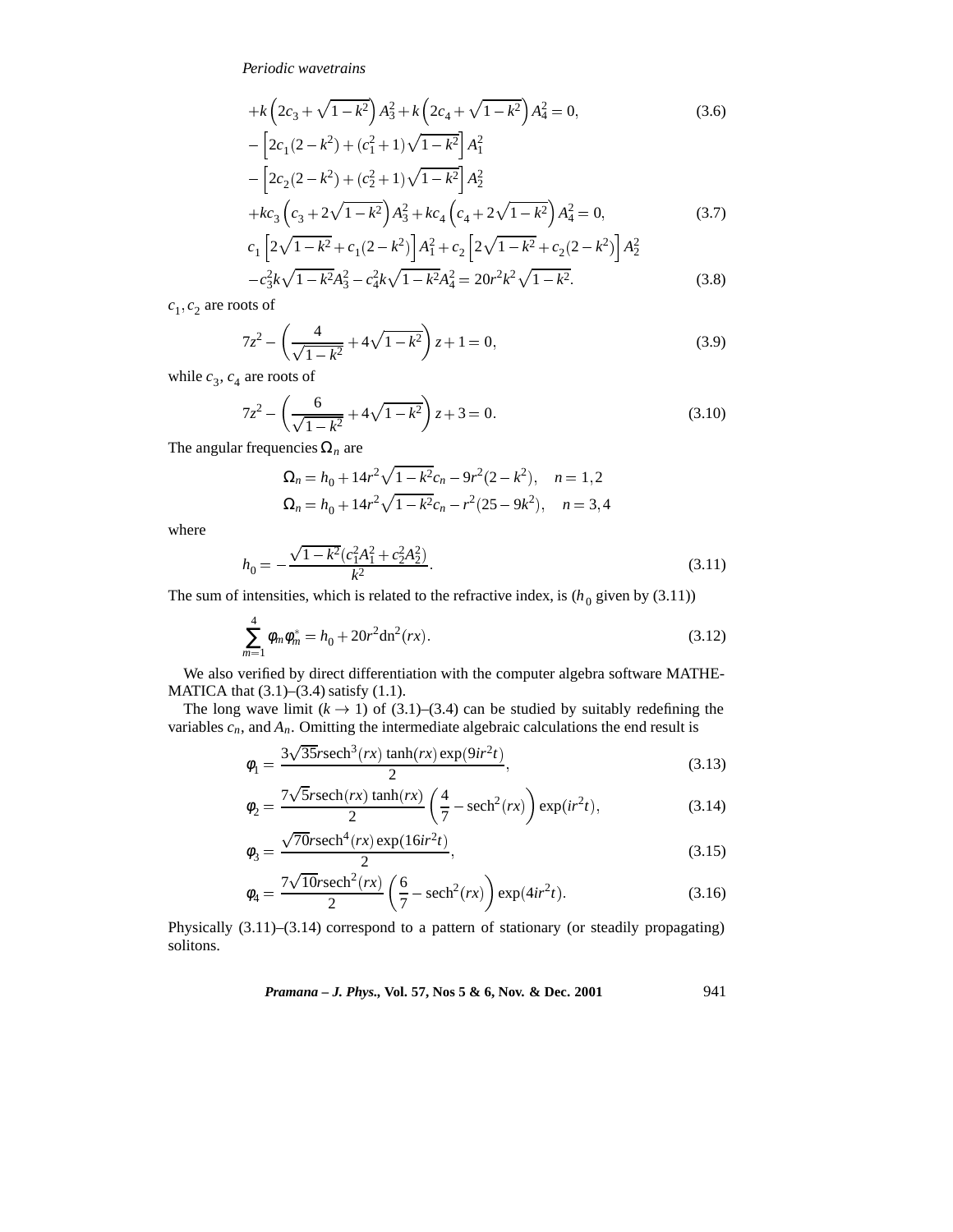$$
+k\left(2c_3 + \sqrt{1-k^2}\right)A_3^2 + k\left(2c_4 + \sqrt{1-k^2}\right)A_4^2 = 0,
$$
\n
$$
-\left[2c_1(2-k^2) + (c_1^2+1)\sqrt{1-k^2}\right]A_1^2
$$
\n
$$
-\left[2c_2(2-k^2) + (c_2^2+1)\sqrt{1-k^2}\right]A_2^2
$$
\n
$$
+kc_3\left(c_3+2\sqrt{1-k^2}\right)A_3^2 + kc_4\left(c_4+2\sqrt{1-k^2}\right)A_4^2 = 0,
$$
\n
$$
c_1\left[2\sqrt{1-k^2} + c_1(2-k^2)\right]A_1^2 + c_2\left[2\sqrt{1-k^2} + c_2(2-k^2)\right]A_2^2
$$
\n(3.7)

$$
-c_3^2 k \sqrt{1 - k^2} A_3^2 - c_4^2 k \sqrt{1 - k^2} A_4^2 = 20r^2 k^2 \sqrt{1 - k^2}.
$$
 (3.8)

 $c_1, c_2$  are roots of

$$
7z^2 - \left(\frac{4}{\sqrt{1-k^2}} + 4\sqrt{1-k^2}\right)z + 1 = 0,\tag{3.9}
$$

while  $c_3$ ,  $c_4$  are roots of

$$
7z^{2} - \left(\frac{6}{\sqrt{1-k^{2}}} + 4\sqrt{1-k^{2}}\right)z + 3 = 0.
$$
 (3.10)

The angular frequencies Ω*<sup>n</sup>* are

$$
\Omega_n = h_0 + 14r^2 \sqrt{1 - k^2} c_n - 9r^2 (2 - k^2), \quad n = 1, 2
$$
  
\n
$$
\Omega_n = h_0 + 14r^2 \sqrt{1 - k^2} c_n - r^2 (25 - 9k^2), \quad n = 3, 4
$$

where

$$
h_0 = -\frac{\sqrt{1 - k^2} (c_1^2 A_1^2 + c_2^2 A_2^2)}{k^2}.
$$
\n(3.11)

The sum of intensities, which is related to the refractive index, is  $(h_0 \text{ given by } (3.11))$ 

$$
\sum_{m=1}^{4} \phi_m \phi_m^* = h_0 + 20r^2 \text{dn}^2(rx). \tag{3.12}
$$

We also verified by direct differentiation with the computer algebra software MATHE-MATICA that  $(3.1)$ – $(3.4)$  satisfy  $(1.1)$ .

The long wave limit  $(k \rightarrow 1)$  of (3.1)–(3.4) can be studied by suitably redefining the variables  $c_n$ , and  $A_n$ . Omitting the intermediate algebraic calculations the end result is

$$
\phi_1 = \frac{3\sqrt{35}r \text{sech}^3(rx) \tanh(rx) \exp(9ir^2t)}{2},\tag{3.13}
$$

$$
\phi_2 = \frac{7\sqrt{5}\text{rsech}(rx)\tanh(rx)}{2}\left(\frac{4}{7} - \text{sech}^2(rx)\right)\exp(ir^2t),\tag{3.14}
$$

$$
\phi_3 = \frac{\sqrt{70}r \text{sech}^4(rx) \exp(16ir^2t)}{2},\tag{3.15}
$$

$$
\phi_4 = \frac{7\sqrt{10}r \text{sech}^2(rx)}{2} \left(\frac{6}{7} - \text{sech}^2(rx)\right) \exp(4ir^2t). \tag{3.16}
$$

Physically (3.11)–(3.14) correspond to a pattern of stationary (or steadily propagating) solitons.

*Pramana – J. Phys.,* **Vol. 57, Nos 5 & 6, Nov. & Dec. 2001** 941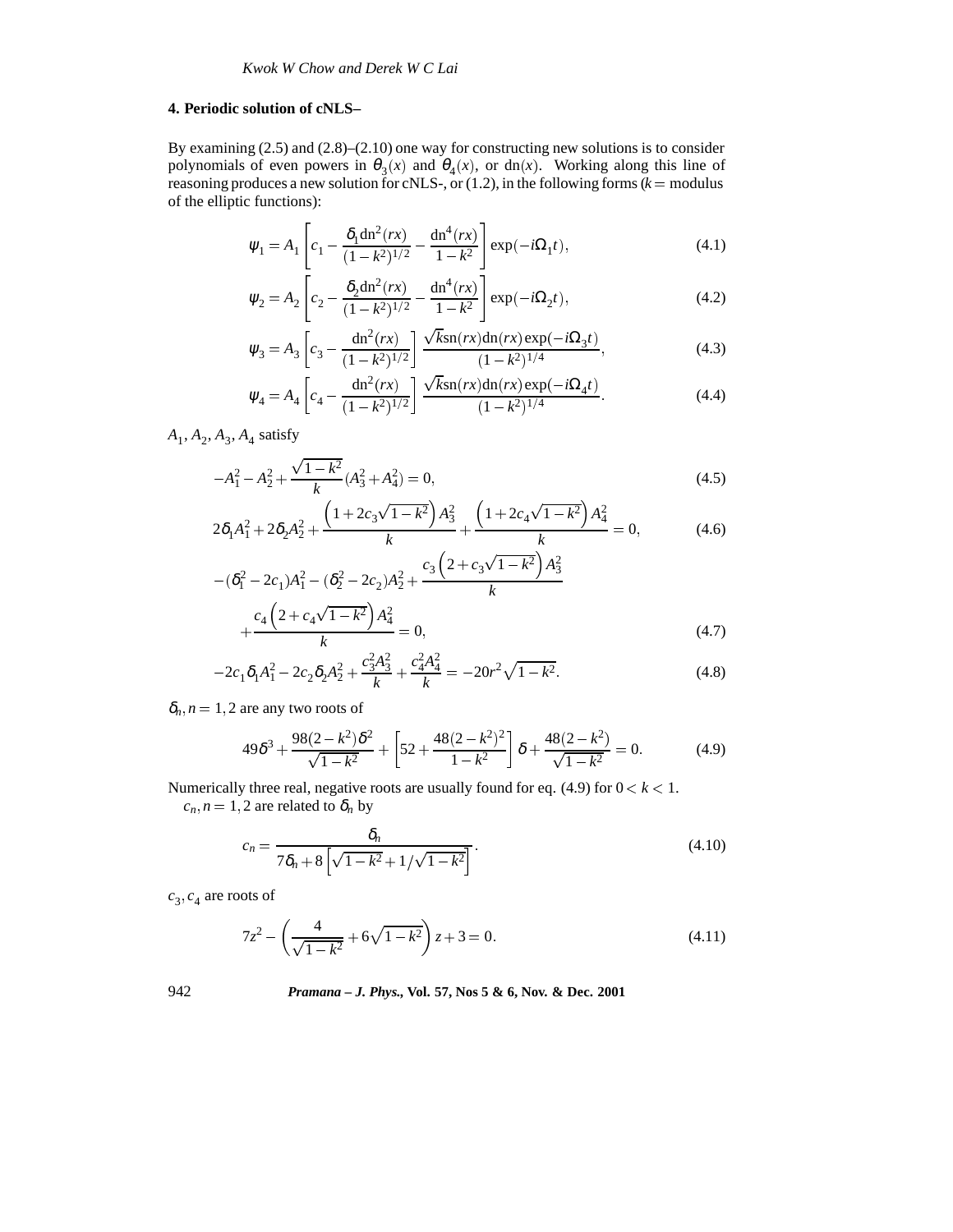# **4. Periodic solution of cNLS–**

By examining (2.5) and (2.8)–(2.10) one way for constructing new solutions is to consider polynomials of even powers in  $\theta_3(x)$  and  $\theta_4(x)$ , or dn(x). Working along this line of reasoning produces a new solution for cNLS-, or  $(1.2)$ , in the following forms  $(k =$  modulus of the elliptic functions):

$$
\Psi_1 = A_1 \left[ c_1 - \frac{\delta_1 \mathrm{dn}^2(rx)}{(1 - k^2)^{1/2}} - \frac{\mathrm{dn}^4(rx)}{1 - k^2} \right] \exp(-i\Omega_1 t),\tag{4.1}
$$

$$
\Psi_2 = A_2 \left[ c_2 - \frac{\delta_2 \mathrm{dn}^2(rx)}{(1 - k^2)^{1/2}} - \frac{\mathrm{dn}^4(rx)}{1 - k^2} \right] \exp(-i\Omega_2 t),\tag{4.2}
$$

$$
\Psi_3 = A_3 \left[ c_3 - \frac{\mathrm{dn}^2(rx)}{(1 - k^2)^{1/2}} \right] \frac{\sqrt{k} \mathrm{sn}(rx) \mathrm{dn}(rx) \exp(-i\Omega_3 t)}{(1 - k^2)^{1/4}}, \tag{4.3}
$$

$$
\Psi_4 = A_4 \left[ c_4 - \frac{\mathrm{dn}^2(rx)}{(1 - k^2)^{1/2}} \right] \frac{\sqrt{k} \mathrm{sn}(rx) \mathrm{dn}(rx) \exp(-i\Omega_4 t)}{(1 - k^2)^{1/4}}.
$$
(4.4)

 $A_1, A_2, A_3, A_4$  satisfy

$$
-A_1^2 - A_2^2 + \frac{\sqrt{1 - k^2}}{k} (A_3^2 + A_4^2) = 0,
$$
\n(4.5)

$$
2\delta_1 A_1^2 + 2\delta_2 A_2^2 + \frac{\left(1 + 2c_3\sqrt{1 - k^2}\right)A_3^2}{k} + \frac{\left(1 + 2c_4\sqrt{1 - k^2}\right)A_4^2}{k} = 0,\tag{4.6}
$$

$$
-(\delta_1^2 - 2c_1)A_1^2 - (\delta_2^2 - 2c_2)A_2^2 + \frac{c_3(2 + c_3\sqrt{1 - k^2})A_3^2}{k} + \frac{c_4(2 + c_4\sqrt{1 - k^2})A_4^2}{k} = 0,
$$
\n(4.7)

$$
-2c_1\delta_1A_1^2 - 2c_2\delta_2A_2^2 + \frac{c_3^2A_3^2}{k} + \frac{c_4^2A_4^2}{k} = -20r^2\sqrt{1-k^2}.
$$
 (4.8)

 $\delta_n$ ,  $n = 1, 2$  are any two roots of

$$
49\delta^3 + \frac{98(2-k^2)\delta^2}{\sqrt{1-k^2}} + \left[52 + \frac{48(2-k^2)^2}{1-k^2}\right]\delta + \frac{48(2-k^2)}{\sqrt{1-k^2}} = 0.
$$
 (4.9)

Numerically three real, negative roots are usually found for eq.  $(4.9)$  for  $0 < k < 1$ .

 $c_n$ ,  $n = 1, 2$  are related to  $\delta_n$  by

$$
c_n = \frac{\delta_n}{7\delta_n + 8\left[\sqrt{1 - k^2} + 1/\sqrt{1 - k^2}\right]}.
$$
\n(4.10)

 $c_3, c_4$  are roots of

$$
7z^{2} - \left(\frac{4}{\sqrt{1-k^{2}}} + 6\sqrt{1-k^{2}}\right)z + 3 = 0.
$$
 (4.11)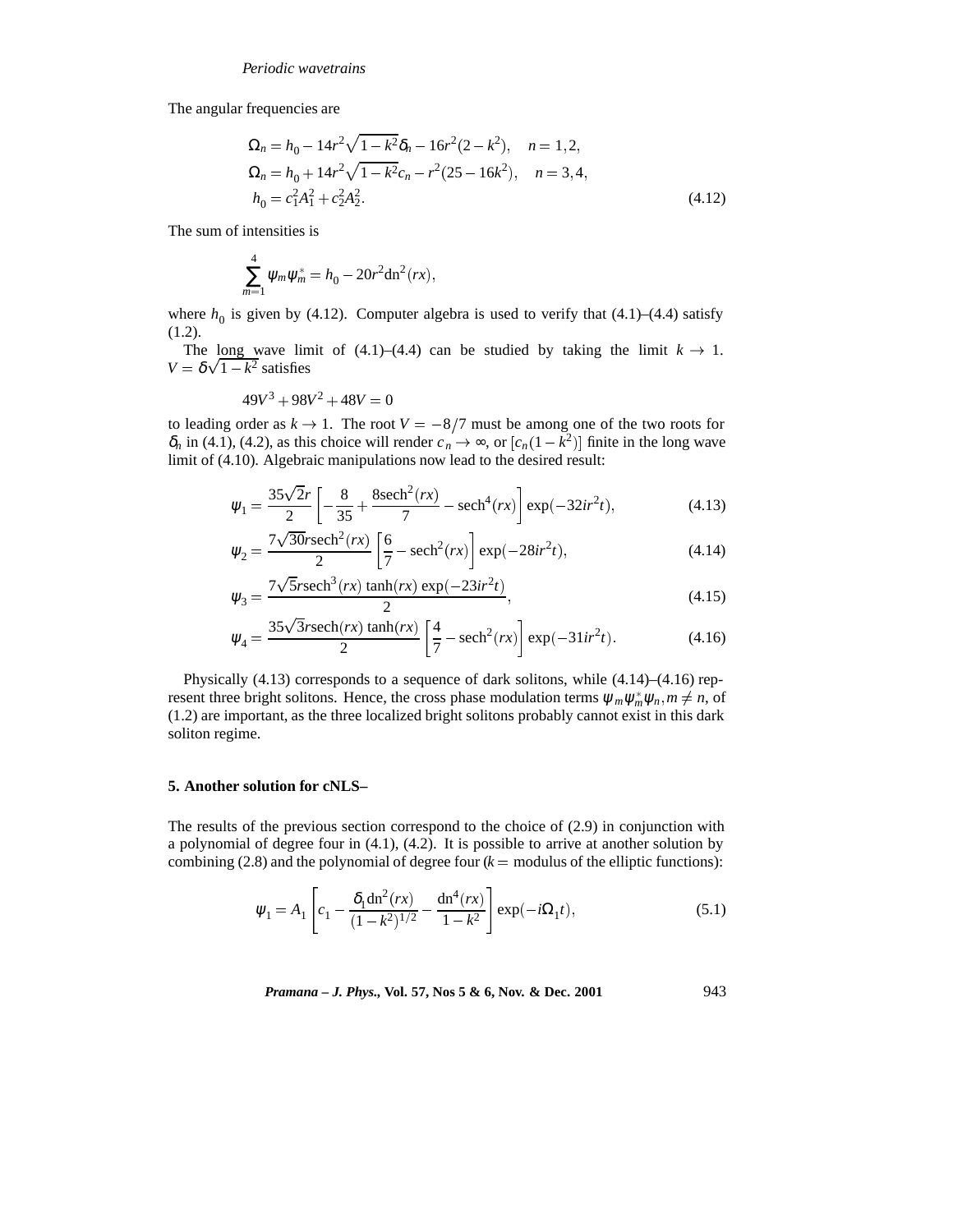The angular frequencies are

$$
\Omega_n = h_0 - 14r^2 \sqrt{1 - k^2} \delta_n - 16r^2 (2 - k^2), \quad n = 1, 2,
$$
  
\n
$$
\Omega_n = h_0 + 14r^2 \sqrt{1 - k^2} c_n - r^2 (25 - 16k^2), \quad n = 3, 4,
$$
  
\n
$$
h_0 = c_1^2 A_1^2 + c_2^2 A_2^2.
$$
\n(4.12)

The sum of intensities is

$$
\sum_{m=1}^{4} \psi_m \psi_m^* = h_0 - 20r^2 \mathrm{dn}^2(rx),
$$

where  $h_0$  is given by (4.12). Computer algebra is used to verify that (4.1)–(4.4) satisfy (1.2).

The long wave limit of (4.1)–(4.4) can be studied by taking the limit  $k \to 1$ .  $V = \delta \sqrt{1 - k^2}$  satisfies

$$
49V^3 + 98V^2 + 48V = 0
$$

to leading order as  $k \to 1$ . The root  $V = -8/7$  must be among one of the two roots for  $\delta_n$  in (4.1), (4.2), as this choice will render  $c_n \to \infty$ , or  $[c_n(1-k^2)]$  finite in the long wave limit of (4.10). Algebraic manipulations now lead to the desired result:

$$
\Psi_1 = \frac{35\sqrt{2}r}{2} \left[ -\frac{8}{35} + \frac{8\text{sech}^2(rx)}{7} - \text{sech}^4(rx) \right] \exp(-32ir^2t),\tag{4.13}
$$

$$
\Psi_2 = \frac{7\sqrt{30}\text{rsech}^2(rx)}{2} \left[\frac{6}{7} - \text{sech}^2(rx)\right] \exp(-28ir^2t),\tag{4.14}
$$

$$
\psi_3 = \frac{7\sqrt{5}r \text{sech}^3(rx) \tanh(rx) \exp(-23ir^2t)}{2},\tag{4.15}
$$

$$
\Psi_4 = \frac{35\sqrt{3}r \text{sech}(rx) \tanh(rx)}{2} \left[ \frac{4}{7} - \text{sech}^2(rx) \right] \exp(-31ir^2t). \tag{4.16}
$$

Physically (4.13) corresponds to a sequence of dark solitons, while (4.14)–(4.16) represent three bright solitons. Hence, the cross phase modulation terms  $\psi_m \psi_m^* \psi_n, m \neq n$ , of (1.2) are important, as the three localized bright solitons probably cannot exist in this dark soliton regime.

## **5. Another solution for cNLS–**

The results of the previous section correspond to the choice of (2.9) in conjunction with a polynomial of degree four in (4.1), (4.2). It is possible to arrive at another solution by combining  $(2.8)$  and the polynomial of degree four  $(k =$  modulus of the elliptic functions):

$$
\Psi_1 = A_1 \left[ c_1 - \frac{\delta_1 \text{dn}^2(rx)}{(1 - k^2)^{1/2}} - \frac{\text{dn}^4(rx)}{1 - k^2} \right] \exp(-i\Omega_1 t),\tag{5.1}
$$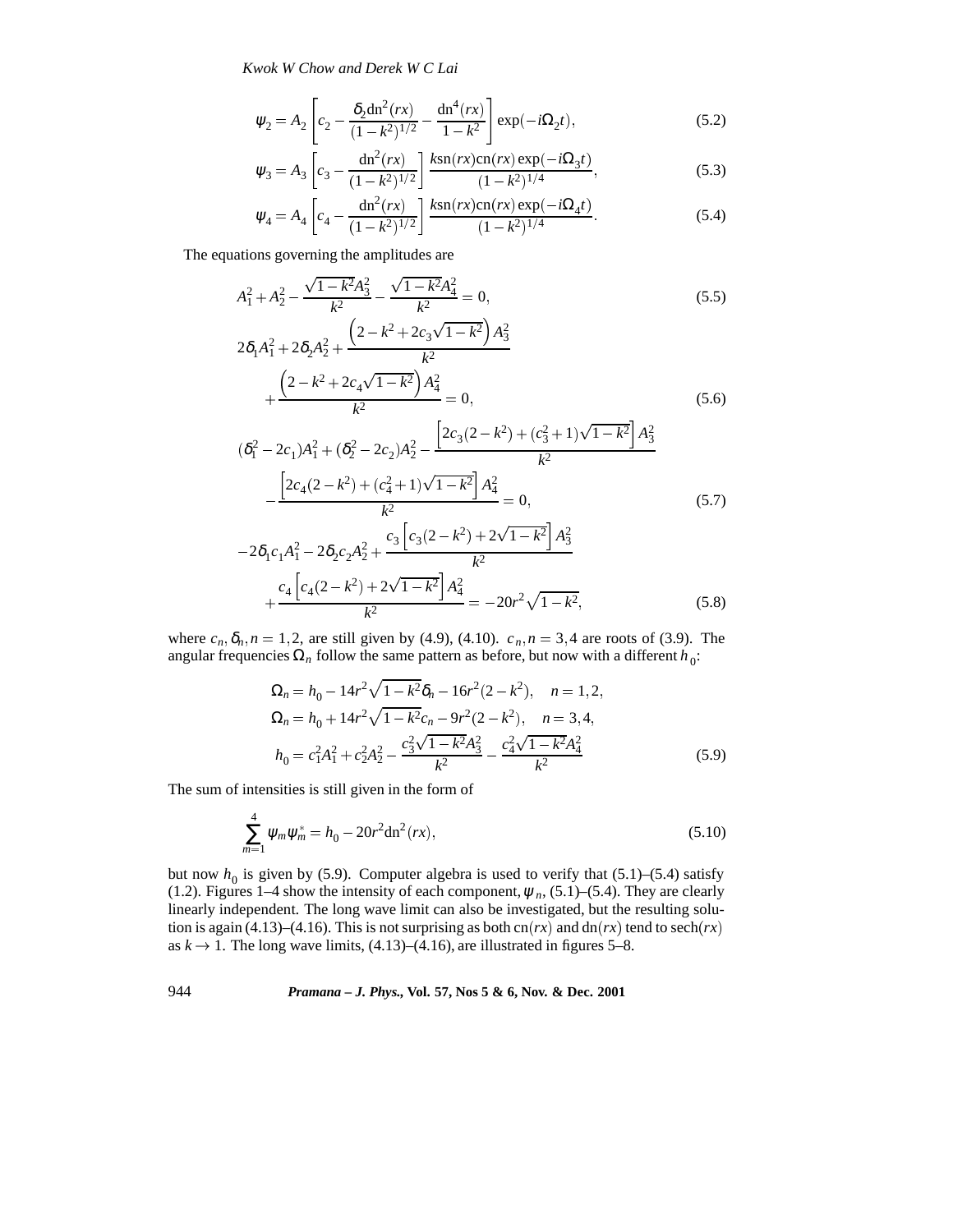*Kwok W Chow and Derek W C Lai*

$$
\Psi_2 = A_2 \left[ c_2 - \frac{\delta_2 \text{dn}^2 (r x)}{(1 - k^2)^{1/2}} - \frac{\text{dn}^4 (r x)}{1 - k^2} \right] \exp(-i\Omega_2 t),\tag{5.2}
$$

$$
\Psi_3 = A_3 \left[ c_3 - \frac{\mathrm{dn}^2(rx)}{(1 - k^2)^{1/2}} \right] \frac{k \mathrm{sn}(rx) \mathrm{cn}(rx) \exp(-i\Omega_3 t)}{(1 - k^2)^{1/4}},\tag{5.3}
$$

$$
\Psi_4 = A_4 \left[ c_4 - \frac{\mathrm{dn}^2(rx)}{(1 - k^2)^{1/2}} \right] \frac{k \mathrm{sn}(rx) \mathrm{cn}(rx) \exp(-i\Omega_4 t)}{(1 - k^2)^{1/4}}.
$$
\n(5.4)

The equations governing the amplitudes are

$$
A_1^2 + A_2^2 - \frac{\sqrt{1 - k^2} A_3^2}{k^2} - \frac{\sqrt{1 - k^2} A_4^2}{k^2} = 0,
$$
\n(5.5)

$$
2\delta_1 A_1^2 + 2\delta_2 A_2^2 + \frac{\left(2 - k^2 + 2c_3\sqrt{1 - k^2}\right)A_3^2}{k^2} + \frac{\left(2 - k^2 + 2c_4\sqrt{1 - k^2}\right)A_4^2}{k^2} = 0,
$$
\n(5.6)

$$
(\delta_1^2 - 2c_1)A_1^2 + (\delta_2^2 - 2c_2)A_2^2 - \frac{\left[2c_3(2 - k^2) + (c_3^2 + 1)\sqrt{1 - k^2}\right]A_3^2}{k^2} - \frac{\left[2c_4(2 - k^2) + (c_4^2 + 1)\sqrt{1 - k^2}\right]A_4^2}{k^2} = 0,
$$
\n(5.7)

$$
-2\delta_1 c_1 A_1^2 - 2\delta_2 c_2 A_2^2 + \frac{c_3 \left[c_3(2-k^2) + 2\sqrt{1-k^2}\right] A_3^2}{k^2} + \frac{c_4 \left[c_4(2-k^2) + 2\sqrt{1-k^2}\right] A_4^2}{k^2} = -20r^2 \sqrt{1-k^2},
$$
\n(5.8)

where  $c_n$ ,  $\delta_n$ ,  $n = 1, 2$ , are still given by (4.9), (4.10).  $c_n$ ,  $n = 3, 4$  are roots of (3.9). The angular frequencies  $\Omega_n$  follow the same pattern as before, but now with a different  $h_0$ :

$$
\Omega_n = h_0 - 14r^2 \sqrt{1 - k^2} \delta_n - 16r^2 (2 - k^2), \quad n = 1, 2,
$$
  
\n
$$
\Omega_n = h_0 + 14r^2 \sqrt{1 - k^2} c_n - 9r^2 (2 - k^2), \quad n = 3, 4,
$$
  
\n
$$
h_0 = c_1^2 A_1^2 + c_2^2 A_2^2 - \frac{c_3^2 \sqrt{1 - k^2} A_3^2}{k^2} - \frac{c_4^2 \sqrt{1 - k^2} A_4^2}{k^2}
$$
\n(5.9)

The sum of intensities is still given in the form of

$$
\sum_{m=1}^{4} \psi_m \psi_m^* = h_0 - 20r^2 \text{dn}^2(rx),\tag{5.10}
$$

but now  $h_0$  is given by (5.9). Computer algebra is used to verify that (5.1)–(5.4) satisfy (1.2). Figures 1–4 show the intensity of each component,  $\psi_n$ , (5.1)–(5.4). They are clearly linearly independent. The long wave limit can also be investigated, but the resulting solution is again (4.13)–(4.16). This is not surprising as both cn(*rx*) and dn(*rx*) tend to sech(*rx*) as  $k \rightarrow 1$ . The long wave limits, (4.13)–(4.16), are illustrated in figures 5–8.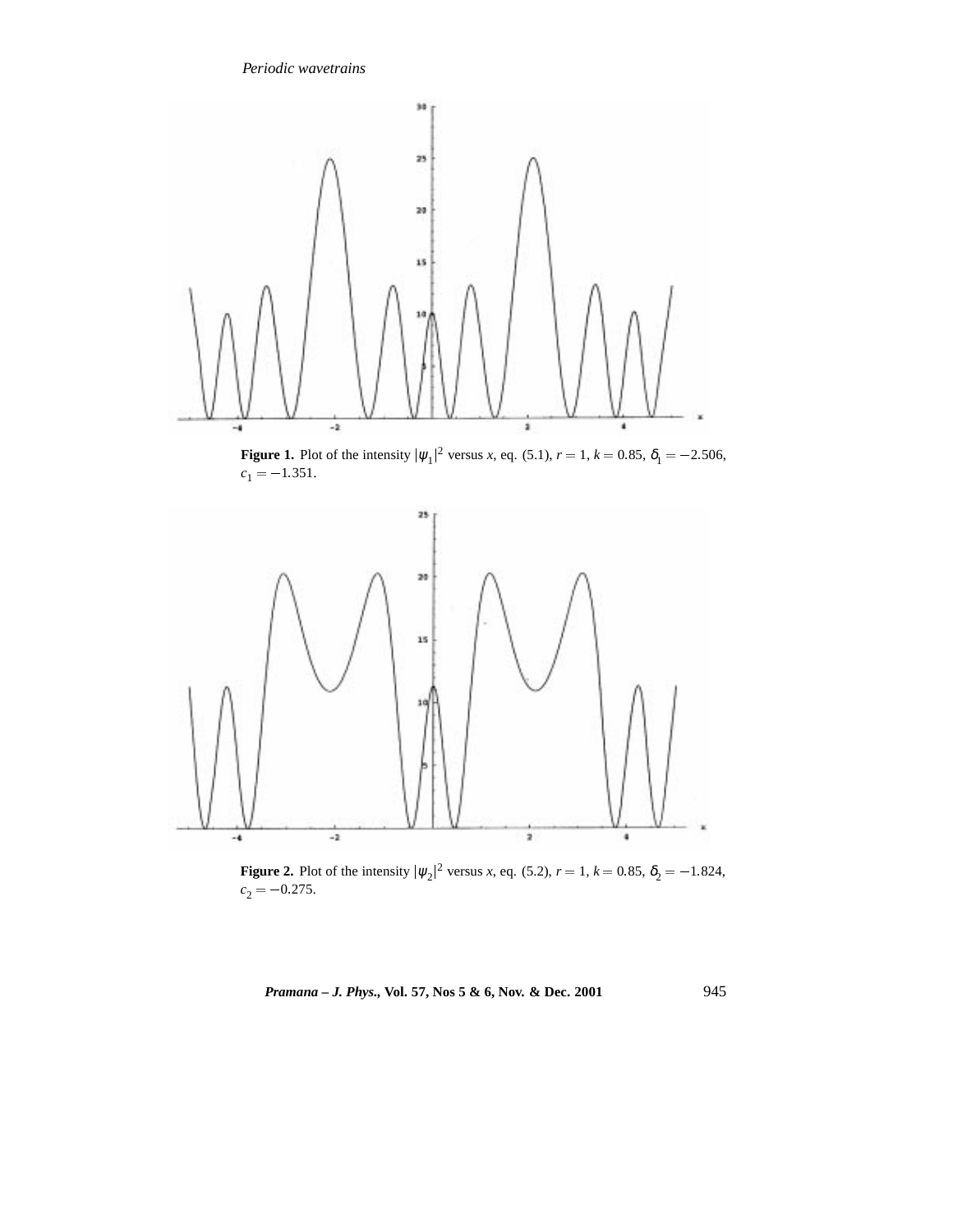

**Figure 1.** Plot of the intensity  $|\psi_1|^2$  versus *x*, eq. (5.1),  $r = 1$ ,  $k = 0.85$ ,  $\delta_1 = -2.506$ ,  $c_1 = -1.351$ .



**Figure 2.** Plot of the intensity  $|\psi_2|^2$  versus *x*, eq. (5.2),  $r = 1$ ,  $k = 0.85$ ,  $\delta_2 = -1.824$ ,  $c_2 = -0.275$ .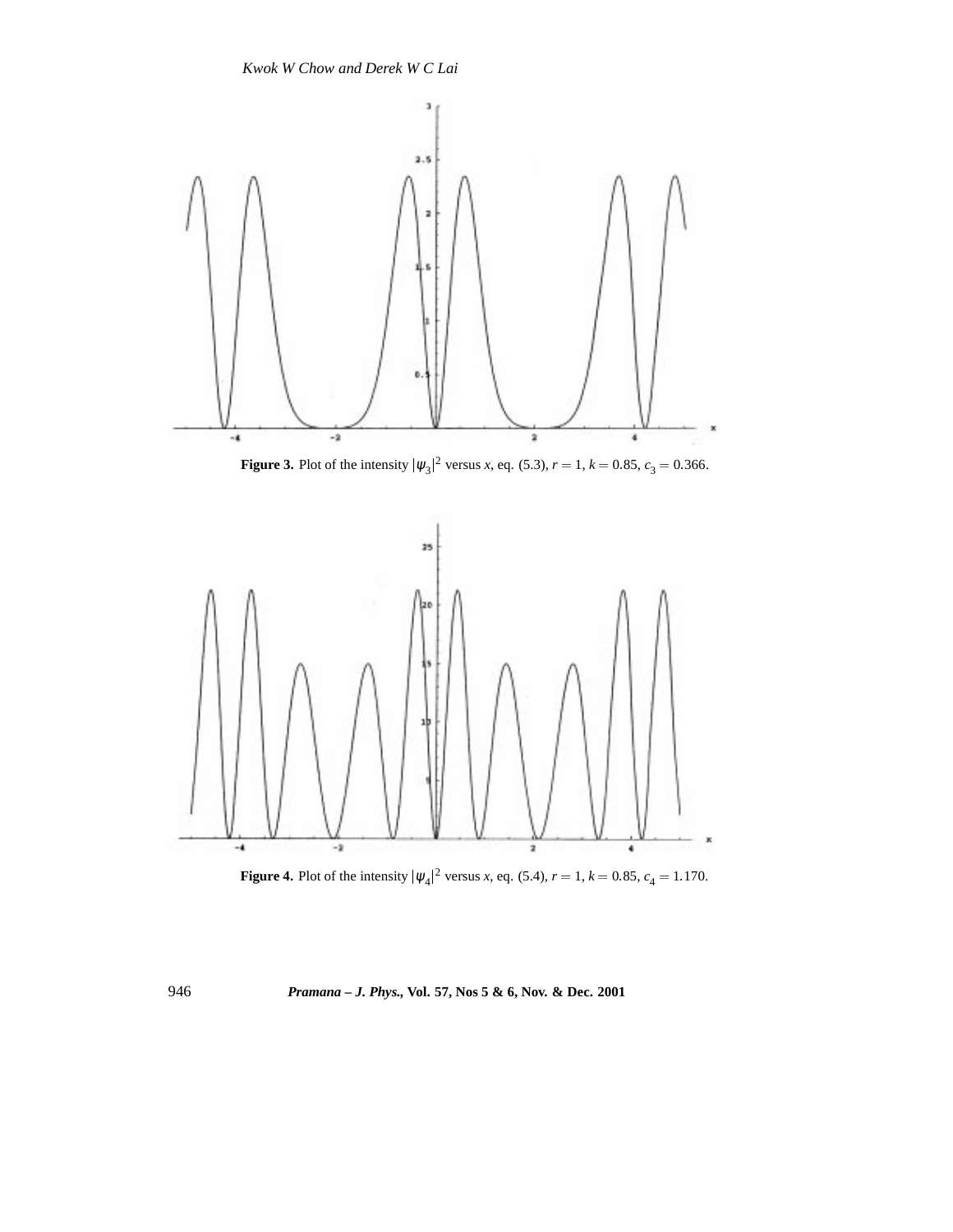

**Figure 3.** Plot of the intensity  $|\psi_3|^2$  versus *x*, eq. (5.3),  $r = 1$ ,  $k = 0.85$ ,  $c_3 = 0.366$ .



**Figure 4.** Plot of the intensity  $|\psi_4|^2$  versus *x*, eq. (5.4),  $r = 1$ ,  $k = 0.85$ ,  $c_4 = 1.170$ .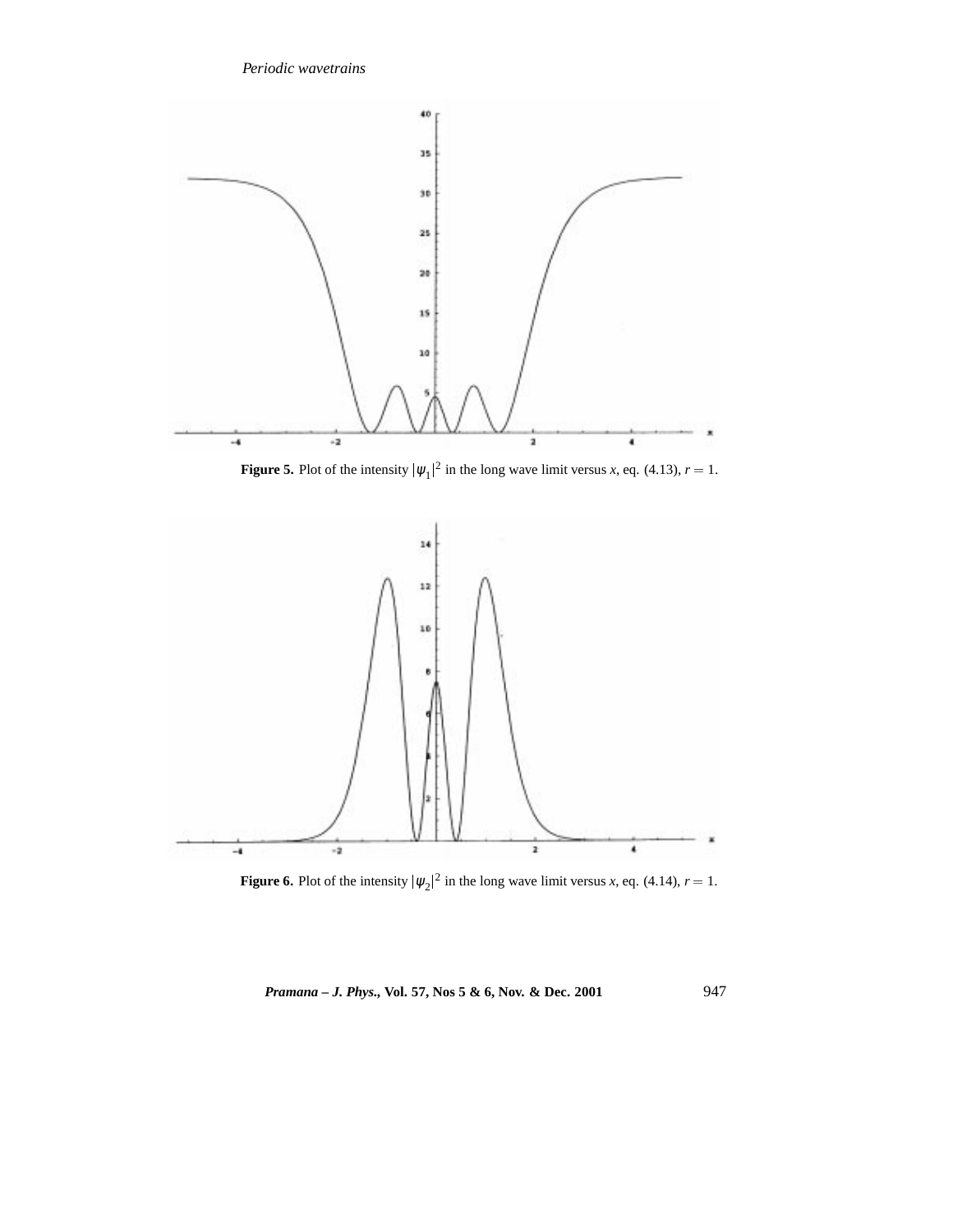

**Figure 5.** Plot of the intensity  $|\psi_1|^2$  in the long wave limit versus *x*, eq. (4.13),  $r = 1$ .



**Figure 6.** Plot of the intensity  $|\psi_2|^2$  in the long wave limit versus *x*, eq. (4.14),  $r = 1$ .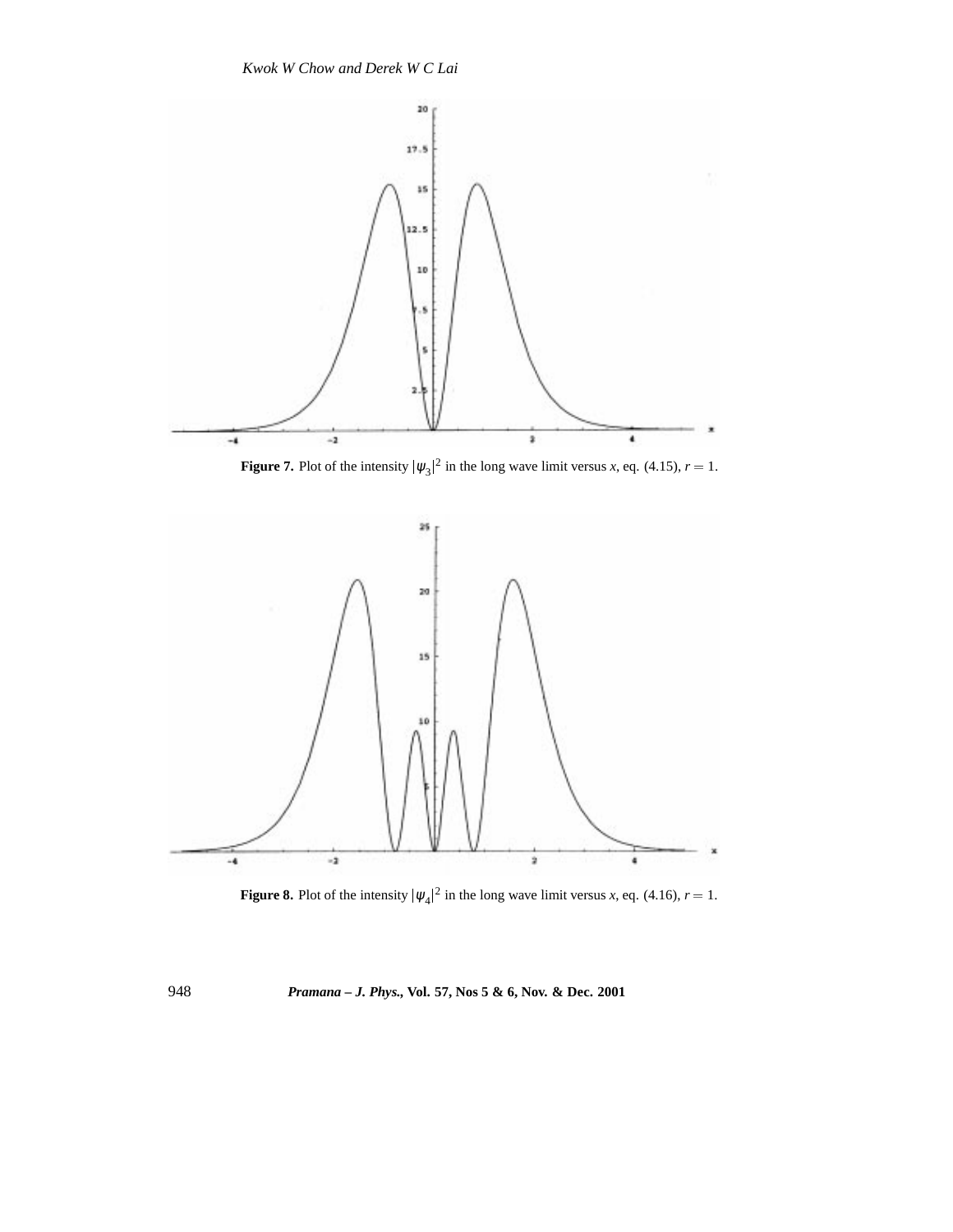

**Figure 7.** Plot of the intensity  $|\psi_3|^2$  in the long wave limit versus *x*, eq. (4.15),  $r = 1$ .



**Figure 8.** Plot of the intensity  $|\psi_4|^2$  in the long wave limit versus *x*, eq. (4.16),  $r = 1$ .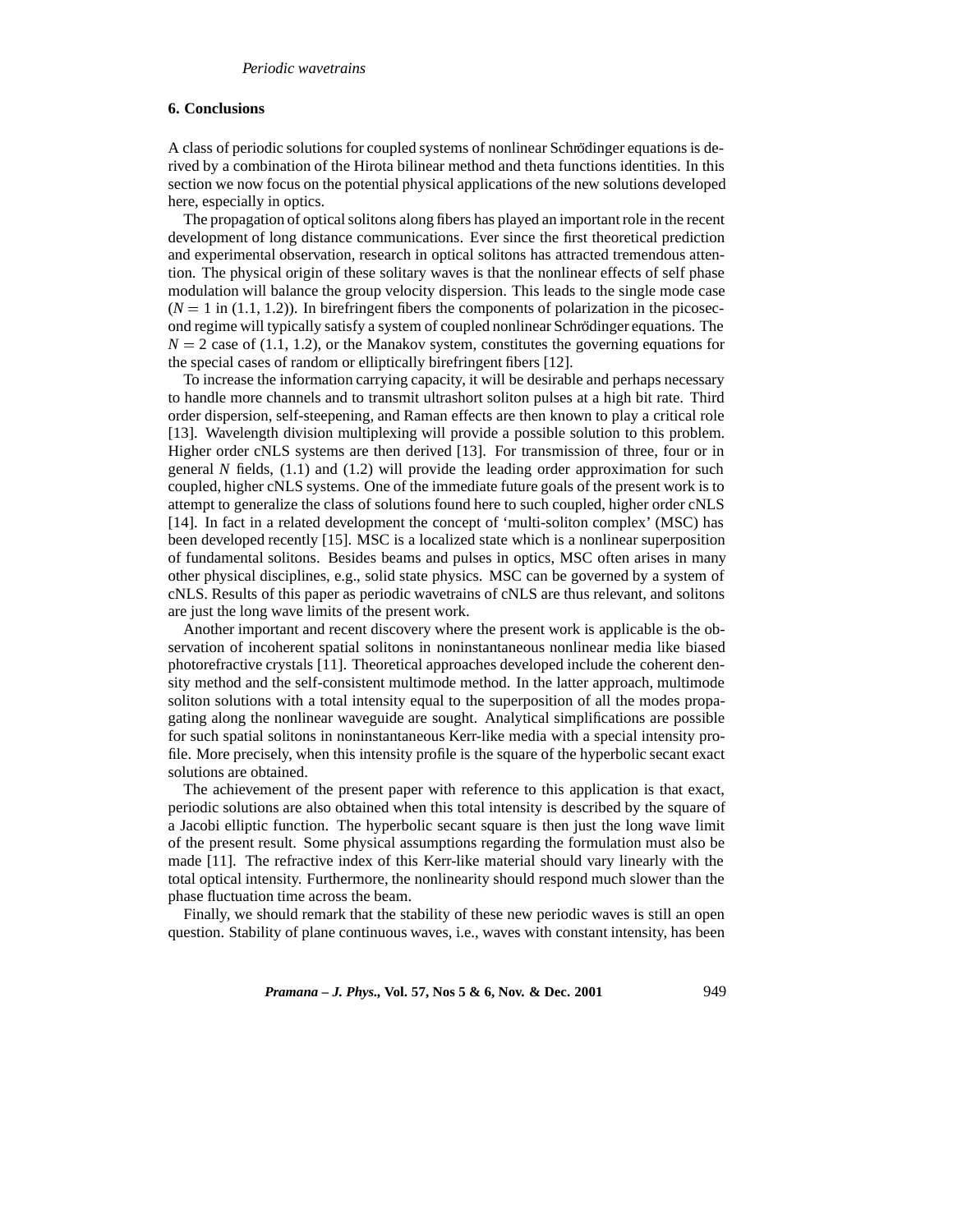## **6. Conclusions**

A class of periodic solutions for coupled systems of nonlinear Schrödinger equations is derived by a combination of the Hirota bilinear method and theta functions identities. In this section we now focus on the potential physical applications of the new solutions developed here, especially in optics.

The propagation of optical solitons along fibers has played an important role in the recent development of long distance communications. Ever since the first theoretical prediction and experimental observation, research in optical solitons has attracted tremendous attention. The physical origin of these solitary waves is that the nonlinear effects of self phase modulation will balance the group velocity dispersion. This leads to the single mode case  $(N = 1$  in  $(1.1, 1.2)$ ). In birefringent fibers the components of polarization in the picosecond regime will typically satisfy a system of coupled nonlinear Schrödinger equations. The  $N = 2$  case of (1.1, 1.2), or the Manakov system, constitutes the governing equations for the special cases of random or elliptically birefringent fibers [12].

To increase the information carrying capacity, it will be desirable and perhaps necessary to handle more channels and to transmit ultrashort soliton pulses at a high bit rate. Third order dispersion, self-steepening, and Raman effects are then known to play a critical role [13]. Wavelength division multiplexing will provide a possible solution to this problem. Higher order cNLS systems are then derived [13]. For transmission of three, four or in general *N* fields, (1.1) and (1.2) will provide the leading order approximation for such coupled, higher cNLS systems. One of the immediate future goals of the present work is to attempt to generalize the class of solutions found here to such coupled, higher order cNLS [14]. In fact in a related development the concept of 'multi-soliton complex' (MSC) has been developed recently [15]. MSC is a localized state which is a nonlinear superposition of fundamental solitons. Besides beams and pulses in optics, MSC often arises in many other physical disciplines, e.g., solid state physics. MSC can be governed by a system of cNLS. Results of this paper as periodic wavetrains of cNLS are thus relevant, and solitons are just the long wave limits of the present work.

Another important and recent discovery where the present work is applicable is the observation of incoherent spatial solitons in noninstantaneous nonlinear media like biased photorefractive crystals [11]. Theoretical approaches developed include the coherent density method and the self-consistent multimode method. In the latter approach, multimode soliton solutions with a total intensity equal to the superposition of all the modes propagating along the nonlinear waveguide are sought. Analytical simplifications are possible for such spatial solitons in noninstantaneous Kerr-like media with a special intensity profile. More precisely, when this intensity profile is the square of the hyperbolic secant exact solutions are obtained.

The achievement of the present paper with reference to this application is that exact, periodic solutions are also obtained when this total intensity is described by the square of a Jacobi elliptic function. The hyperbolic secant square is then just the long wave limit of the present result. Some physical assumptions regarding the formulation must also be made [11]. The refractive index of this Kerr-like material should vary linearly with the total optical intensity. Furthermore, the nonlinearity should respond much slower than the phase fluctuation time across the beam.

Finally, we should remark that the stability of these new periodic waves is still an open question. Stability of plane continuous waves, i.e., waves with constant intensity, has been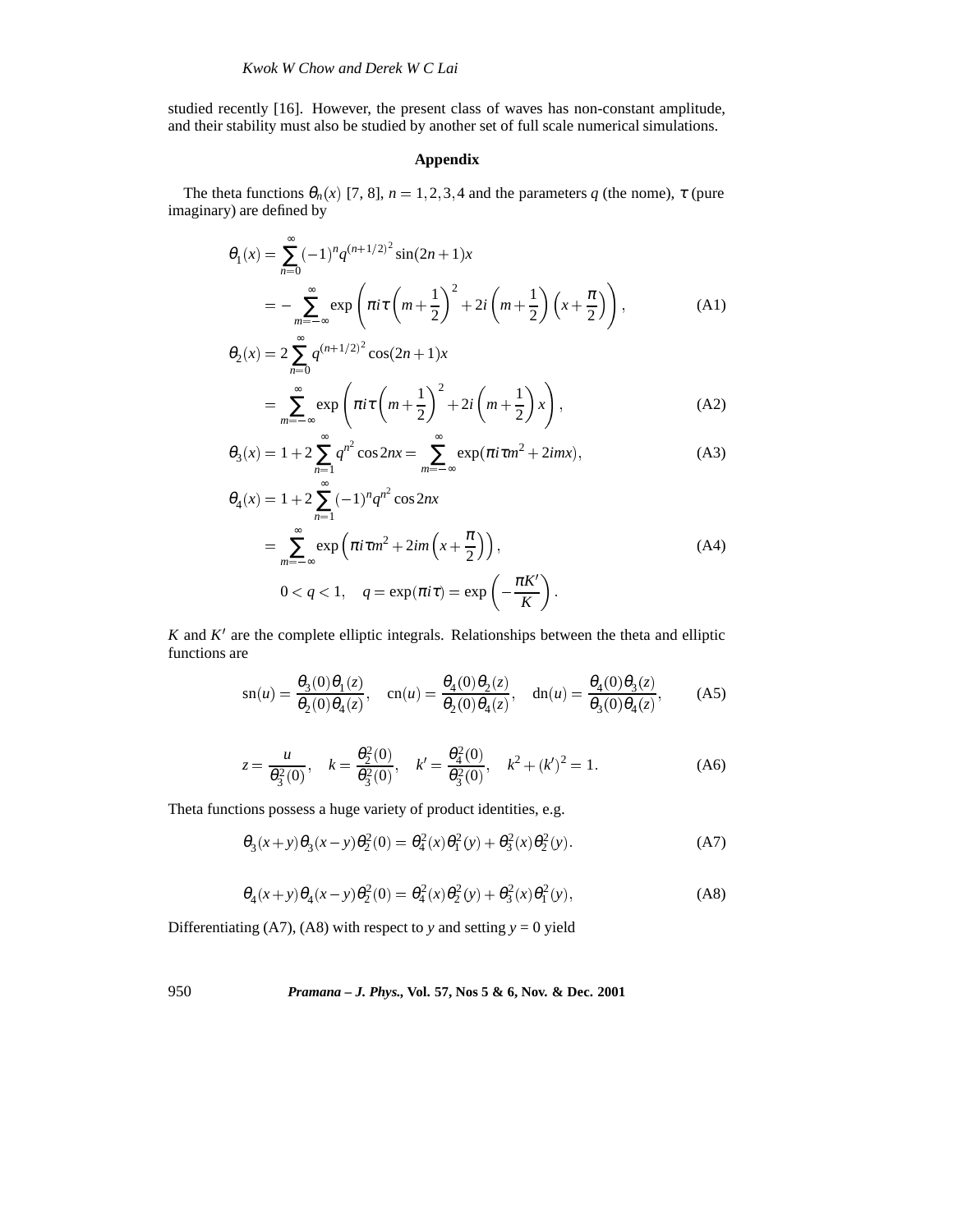studied recently [16]. However, the present class of waves has non-constant amplitude, and their stability must also be studied by another set of full scale numerical simulations.

#### **Appendix**

The theta functions  $\theta_n(x)$  [7, 8],  $n = 1, 2, 3, 4$  and the parameters *q* (the nome),  $\tau$  (pure imaginary) are defined by

$$
\theta_1(x) = \sum_{n=0}^{\infty} (-1)^n q^{(n+1/2)^2} \sin((2n+1)x)
$$
  
= 
$$
-\sum_{m=-\infty}^{\infty} \exp\left(\pi i \tau \left(m + \frac{1}{2}\right)^2 + 2i \left(m + \frac{1}{2}\right) \left(x + \frac{\pi}{2}\right)\right),
$$
 (A1)

$$
\theta_2(x) = 2 \sum_{n=0}^{\infty} q^{(n+1/2)^2} \cos(2n+1)x
$$
  
= 
$$
\sum_{m=-\infty}^{\infty} \exp\left(\pi i \tau \left(m + \frac{1}{2}\right)^2 + 2i \left(m + \frac{1}{2}\right)x\right),
$$
 (A2)

$$
\theta_3(x) = 1 + 2 \sum_{n=1}^{\infty} q^{n^2} \cos 2nx = \sum_{m=-\infty}^{\infty} \exp(\pi i \tau m^2 + 2imx),
$$
 (A3)

$$
\theta_4(x) = 1 + 2 \sum_{n=1}^{\infty} (-1)^n q^{n^2} \cos 2nx
$$
  
= 
$$
\sum_{m=-\infty}^{\infty} \exp\left(\pi i \tau m^2 + 2im\left(x + \frac{\pi}{2}\right)\right),
$$
  

$$
0 < q < 1, \quad q = \exp(\pi i \tau) = \exp\left(-\frac{\pi K'}{K}\right).
$$
 (A4)

 $K$  and  $K'$  are the complete elliptic integrals. Relationships between the theta and elliptic functions are

$$
\mathrm{sn}(u) = \frac{\theta_3(0)\theta_1(z)}{\theta_2(0)\theta_4(z)}, \quad \mathrm{cn}(u) = \frac{\theta_4(0)\theta_2(z)}{\theta_2(0)\theta_4(z)}, \quad \mathrm{dn}(u) = \frac{\theta_4(0)\theta_3(z)}{\theta_3(0)\theta_4(z)}, \tag{A5}
$$

$$
z = \frac{u}{\theta_3^2(0)}, \quad k = \frac{\theta_2^2(0)}{\theta_3^2(0)}, \quad k' = \frac{\theta_4^2(0)}{\theta_3^2(0)}, \quad k^2 + (k')^2 = 1. \tag{A6}
$$

Theta functions possess a huge variety of product identities, e.g.

$$
\theta_3(x+y)\theta_3(x-y)\theta_2^2(0) = \theta_4^2(x)\theta_1^2(y) + \theta_3^2(x)\theta_2^2(y).
$$
 (A7)

$$
\theta_4(x+y)\theta_4(x-y)\theta_2^2(0) = \theta_4^2(x)\theta_2^2(y) + \theta_3^2(x)\theta_1^2(y),
$$
 (A8)

Differentiating (A7), (A8) with respect to *y* and setting  $y = 0$  yield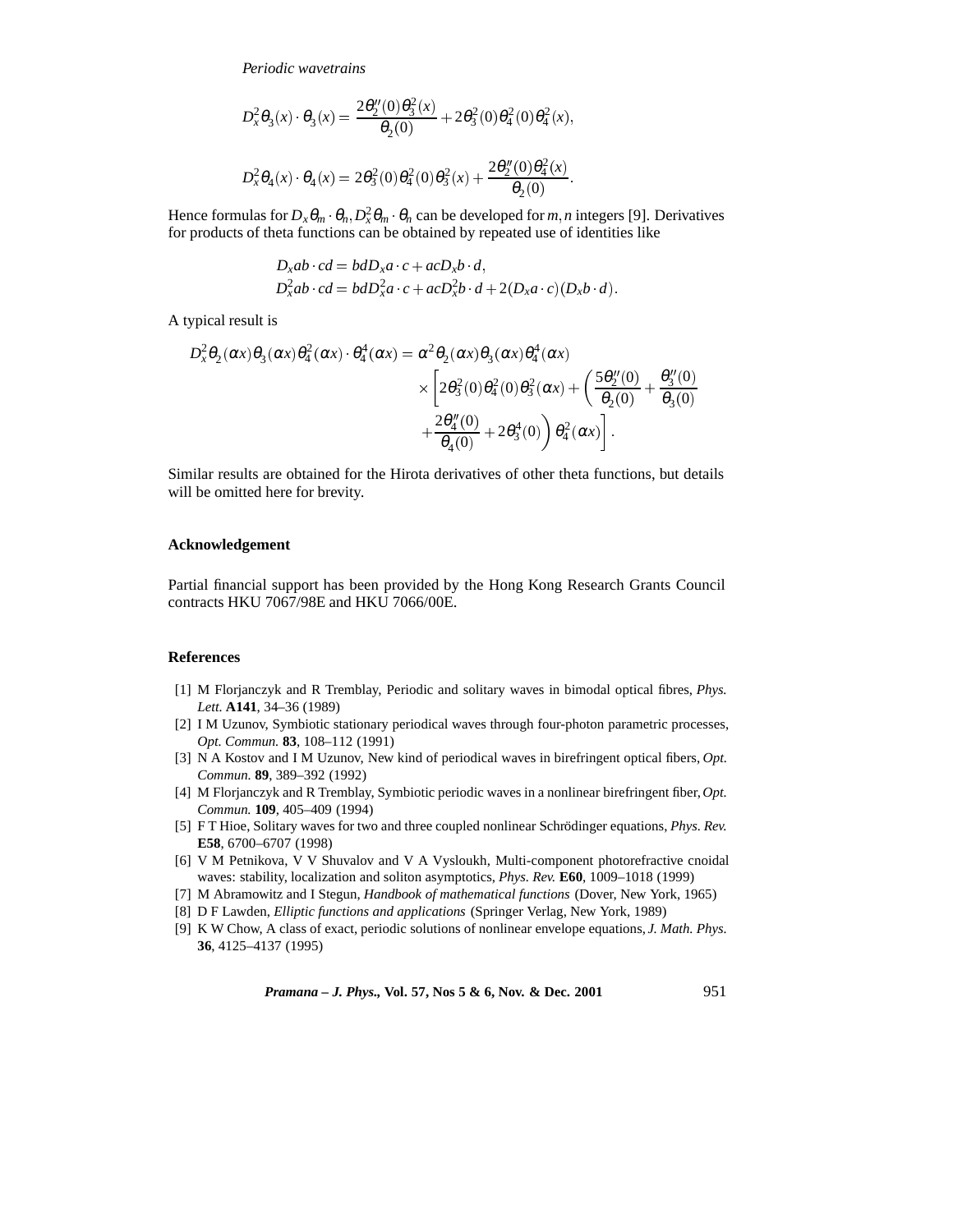$$
D_x^2 \theta_3(x) \cdot \theta_3(x) = \frac{2\theta_2''(0)\theta_3^2(x)}{\theta_2(0)} + 2\theta_3^2(0)\theta_4^2(0)\theta_4^2(x),
$$
  

$$
D_x^2 \theta_4(x) \cdot \theta_4(x) = 2\theta_3^2(0)\theta_4^2(0)\theta_3^2(x) + \frac{2\theta_2''(0)\theta_4^2(x)}{\theta_2(0)}.
$$

Hence formulas for  $D_x \theta_m \cdot \theta_n$ ,  $D_x^2 \theta_m \cdot \theta_n$  can be developed for *m*, *n* integers [9]. Derivatives for products of theta functions can be obtained by repeated use of identities like

$$
D_xab \cdot cd = bdD_xa \cdot c + acD_xb \cdot d,
$$
  
\n
$$
D_x^2ab \cdot cd = bdD_x^2a \cdot c + acD_x^2b \cdot d + 2(D_xa \cdot c)(D_xb \cdot d).
$$

A typical result is

$$
D_x^2 \theta_2(\alpha x) \theta_3(\alpha x) \theta_4^2(\alpha x) \cdot \theta_4^4(\alpha x) = \alpha^2 \theta_2(\alpha x) \theta_3(\alpha x) \theta_4^4(\alpha x) \times \left[2\theta_3^2(0)\theta_4^2(0)\theta_3^2(\alpha x) + \left(\frac{5\theta_2''(0)}{\theta_2(0)} + \frac{\theta_3''(0)}{\theta_3(0)}\right) + \frac{2\theta_4''(0)}{\theta_4(0)} + 2\theta_3^4(0)\right) \theta_4^2(\alpha x)
$$

Similar results are obtained for the Hirota derivatives of other theta functions, but details will be omitted here for brevity.

## **Acknowledgement**

Partial financial support has been provided by the Hong Kong Research Grants Council contracts HKU 7067/98E and HKU 7066/00E.

## **References**

- [1] M Florjanczyk and R Tremblay, Periodic and solitary waves in bimodal optical fibres, *Phys. Lett.* **A141**, 34–36 (1989)
- [2] I M Uzunov, Symbiotic stationary periodical waves through four-photon parametric processes, *Opt. Commun.* **83**, 108–112 (1991)
- [3] N A Kostov and I M Uzunov, New kind of periodical waves in birefringent optical fibers, *Opt. Commun.* **89**, 389–392 (1992)
- [4] M Florjanczyk and R Tremblay, Symbiotic periodic waves in a nonlinear birefringent fiber,*Opt. Commun.* **109**, 405–409 (1994)
- [5] FT Hioe, Solitary waves for two and three coupled nonlinear Schrödinger equations, *Phys. Rev.* **E58**, 6700–6707 (1998)
- [6] V M Petnikova, V V Shuvalov and V A Vysloukh, Multi-component photorefractive cnoidal waves: stability, localization and soliton asymptotics, *Phys. Rev.* **E60**, 1009–1018 (1999)
- [7] M Abramowitz and I Stegun, *Handbook of mathematical functions* (Dover, New York, 1965)
- [8] D F Lawden, *Elliptic functions and applications* (Springer Verlag, New York, 1989)
- [9] K W Chow, A class of exact, periodic solutions of nonlinear envelope equations, *J. Math. Phys.* **36**, 4125–4137 (1995)